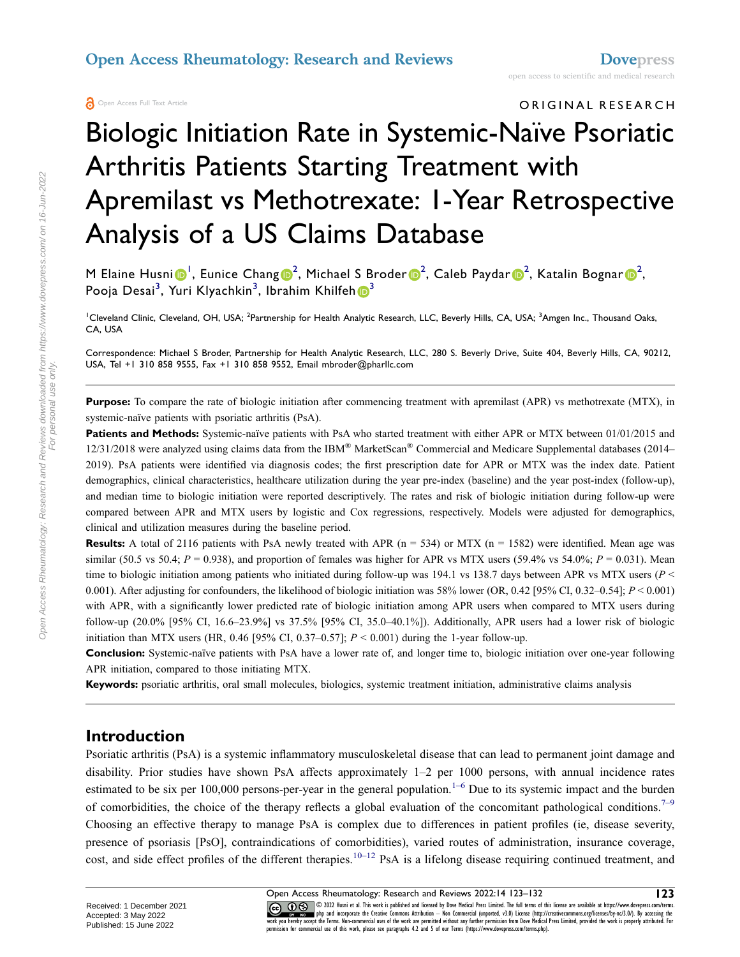## ORIGINAL RESEARCH

# Biologic Initiation Rate in Systemic-Naïve Psoriatic Arthritis Patients Starting Treatment with Apremilast vs Methotrexate: 1-Year Retrospective Analysis of a US Claims Database

M Elaine Husni $\bigcirc^1$  $\bigcirc^1$ , Eunice Chang $\bigcirc^2$  $\bigcirc^2$ , Michael S Broder $\bigcirc^2$ , Caleb Paydar $\bigcirc^2$ , Katalin Bognar $\bigcirc^2$ , Pooja Desai<sup>[3](#page-0-0)</sup>, Yuri Klyachkin<sup>3</sup>, Ibrahim Khilfeh <mark>(D</mark><sup>3</sup>

<span id="page-0-0"></span><sup>1</sup>Cleveland Clinic, Cleveland, OH, USA; <sup>2</sup>Partnership for Health Analytic Research, LLC, Beverly Hills, CA, USA; <sup>3</sup>Amgen Inc., Thousand Oaks, CA, USA

Correspondence: Michael S Broder, Partnership for Health Analytic Research, LLC, 280 S. Beverly Drive, Suite 404, Beverly Hills, CA, 90212, USA, Tel +1 310 858 9555, Fax +1 310 858 9552, Email mbroder@pharllc.com

**Purpose:** To compare the rate of biologic initiation after commencing treatment with apremilast (APR) vs methotrexate (MTX), in systemic-naïve patients with psoriatic arthritis (PsA).

**Patients and Methods:** Systemic-naïve patients with PsA who started treatment with either APR or MTX between 01/01/2015 and  $12/31/2018$  were analyzed using claims data from the IBM® MarketScan® Commercial and Medicare Supplemental databases (2014– 2019). PsA patients were identified via diagnosis codes; the first prescription date for APR or MTX was the index date. Patient demographics, clinical characteristics, healthcare utilization during the year pre-index (baseline) and the year post-index (follow-up), and median time to biologic initiation were reported descriptively. The rates and risk of biologic initiation during follow-up were compared between APR and MTX users by logistic and Cox regressions, respectively. Models were adjusted for demographics, clinical and utilization measures during the baseline period.

**Results:** A total of 2116 patients with PsA newly treated with APR  $(n = 534)$  or MTX  $(n = 1582)$  were identified. Mean age was similar (50.5 vs 50.4;  $P = 0.938$ ), and proportion of females was higher for APR vs MTX users (59.4% vs 54.0%;  $P = 0.031$ ). Mean time to biologic initiation among patients who initiated during follow-up was 194.1 vs 138.7 days between APR vs MTX users (*P* < 0.001). After adjusting for confounders, the likelihood of biologic initiation was 58% lower (OR, 0.42 [95% CI, 0.32–0.54]; *P* < 0.001) with APR, with a significantly lower predicted rate of biologic initiation among APR users when compared to MTX users during follow-up (20.0% [95% CI, 16.6–23.9%] vs 37.5% [95% CI, 35.0–40.1%]). Additionally, APR users had a lower risk of biologic initiation than MTX users (HR, 0.46 [95% CI, 0.37–0.57];  $P < 0.001$ ) during the 1-year follow-up.

**Conclusion:** Systemic-naïve patients with PsA have a lower rate of, and longer time to, biologic initiation over one-year following APR initiation, compared to those initiating MTX.

**Keywords:** psoriatic arthritis, oral small molecules, biologics, systemic treatment initiation, administrative claims analysis

#### **Introduction**

<span id="page-0-3"></span><span id="page-0-2"></span><span id="page-0-1"></span>Psoriatic arthritis (PsA) is a systemic inflammatory musculoskeletal disease that can lead to permanent joint damage and disability. Prior studies have shown PsA affects approximately 1–2 per 1000 persons, with annual incidence rates estimated to be six per 100,000 persons-per-year in the general population.<sup>[1–](#page-7-0)[6](#page-7-1)</sup> Due to its systemic impact and the burden of comorbidities, the choice of the therapy reflects a global evaluation of the concomitant pathological conditions.<sup>[7–](#page-7-2)[9](#page-7-3)</sup> Choosing an effective therapy to manage PsA is complex due to differences in patient profiles (ie, disease severity, presence of psoriasis [PsO], contraindications of comorbidities), varied routes of administration, insurance coverage, cost, and side effect profiles of the different therapies.<sup>[10–](#page-8-0)[12](#page-8-1)</sup> PsA is a lifelong disease requiring continued treatment, and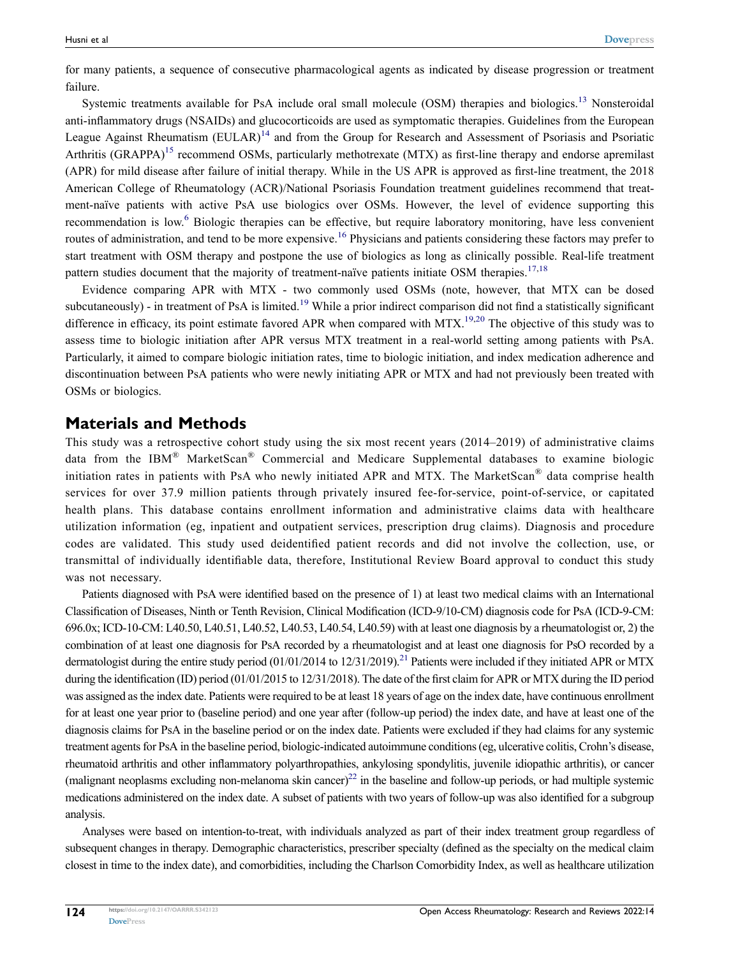for many patients, a sequence of consecutive pharmacological agents as indicated by disease progression or treatment failure.

<span id="page-1-3"></span><span id="page-1-2"></span><span id="page-1-1"></span>Systemic treatments available for PsA include oral small molecule (OSM) therapies and biologics.<sup>13</sup> Nonsteroidal anti-inflammatory drugs (NSAIDs) and glucocorticoids are used as symptomatic therapies. Guidelines from the European League Against Rheumatism (EULAR)<sup>[14](#page-8-3)</sup> and from the Group for Research and Assessment of Psoriasis and Psoriatic Arthritis (GRAPPA)<sup>15</sup> recommend OSMs, particularly methotrexate (MTX) as first-line therapy and endorse apremilast (APR) for mild disease after failure of initial therapy. While in the US APR is approved as first-line treatment, the 2018 American College of Rheumatology (ACR)/National Psoriasis Foundation treatment guidelines recommend that treatment-naïve patients with active PsA use biologics over OSMs. However, the level of evidence supporting this recommendation is low.[6](#page-7-1) Biologic therapies can be effective, but require laboratory monitoring, have less convenient routes of administration, and tend to be more expensive.[16](#page-8-5) Physicians and patients considering these factors may prefer to start treatment with OSM therapy and postpone the use of biologics as long as clinically possible. Real-life treatment pattern studies document that the majority of treatment-naïve patients initiate OSM therapies.<sup>[17](#page-8-6),[18](#page-8-7)</sup>

<span id="page-1-6"></span><span id="page-1-5"></span><span id="page-1-4"></span><span id="page-1-0"></span>Evidence comparing APR with MTX - two commonly used OSMs (note, however, that MTX can be dosed subcutaneously) - in treatment of PsA is limited.<sup>[19](#page-8-8)</sup> While a prior indirect comparison did not find a statistically significant difference in efficacy, its point estimate favored APR when compared with MTX.<sup>19,[20](#page-8-9)</sup> The objective of this study was to assess time to biologic initiation after APR versus MTX treatment in a real-world setting among patients with PsA. Particularly, it aimed to compare biologic initiation rates, time to biologic initiation, and index medication adherence and discontinuation between PsA patients who were newly initiating APR or MTX and had not previously been treated with OSMs or biologics.

#### **Materials and Methods**

This study was a retrospective cohort study using the six most recent years (2014–2019) of administrative claims data from the IBM® MarketScan® Commercial and Medicare Supplemental databases to examine biologic initiation rates in patients with PsA who newly initiated APR and MTX. The MarketScan® data comprise health services for over 37.9 million patients through privately insured fee-for-service, point-of-service, or capitated health plans. This database contains enrollment information and administrative claims data with healthcare utilization information (eg, inpatient and outpatient services, prescription drug claims). Diagnosis and procedure codes are validated. This study used deidentified patient records and did not involve the collection, use, or transmittal of individually identifiable data, therefore, Institutional Review Board approval to conduct this study was not necessary.

<span id="page-1-7"></span>Patients diagnosed with PsA were identified based on the presence of 1) at least two medical claims with an International Classification of Diseases, Ninth or Tenth Revision, Clinical Modification (ICD-9/10-CM) diagnosis code for PsA (ICD-9-CM: 696.0x; ICD-10-CM: L40.50, L40.51, L40.52, L40.53, L40.54, L40.59) with at least one diagnosis by a rheumatologist or, 2) the combination of at least one diagnosis for PsA recorded by a rheumatologist and at least one diagnosis for PsO recorded by a dermatologist during the entire study period  $(01/01/2014$  to  $12/31/2019$ .<sup>[21](#page-8-10)</sup> Patients were included if they initiated APR or MTX during the identification (ID) period (01/01/2015 to 12/31/2018). The date of the first claim for APR or MTX during the ID period was assigned as the index date. Patients were required to be at least 18 years of age on the index date, have continuous enrollment for at least one year prior to (baseline period) and one year after (follow-up period) the index date, and have at least one of the diagnosis claims for PsA in the baseline period or on the index date. Patients were excluded if they had claims for any systemic treatment agents for PsA in the baseline period, biologic-indicated autoimmune conditions (eg, ulcerative colitis, Crohn's disease, rheumatoid arthritis and other inflammatory polyarthropathies, ankylosing spondylitis, juvenile idiopathic arthritis), or cancer (malignant neoplasms excluding non-melanoma skin cancer)<sup>22</sup> in the baseline and follow-up periods, or had multiple systemic medications administered on the index date. A subset of patients with two years of follow-up was also identified for a subgroup analysis.

<span id="page-1-8"></span>Analyses were based on intention-to-treat, with individuals analyzed as part of their index treatment group regardless of subsequent changes in therapy. Demographic characteristics, prescriber specialty (defined as the specialty on the medical claim closest in time to the index date), and comorbidities, including the Charlson Comorbidity Index, as well as healthcare utilization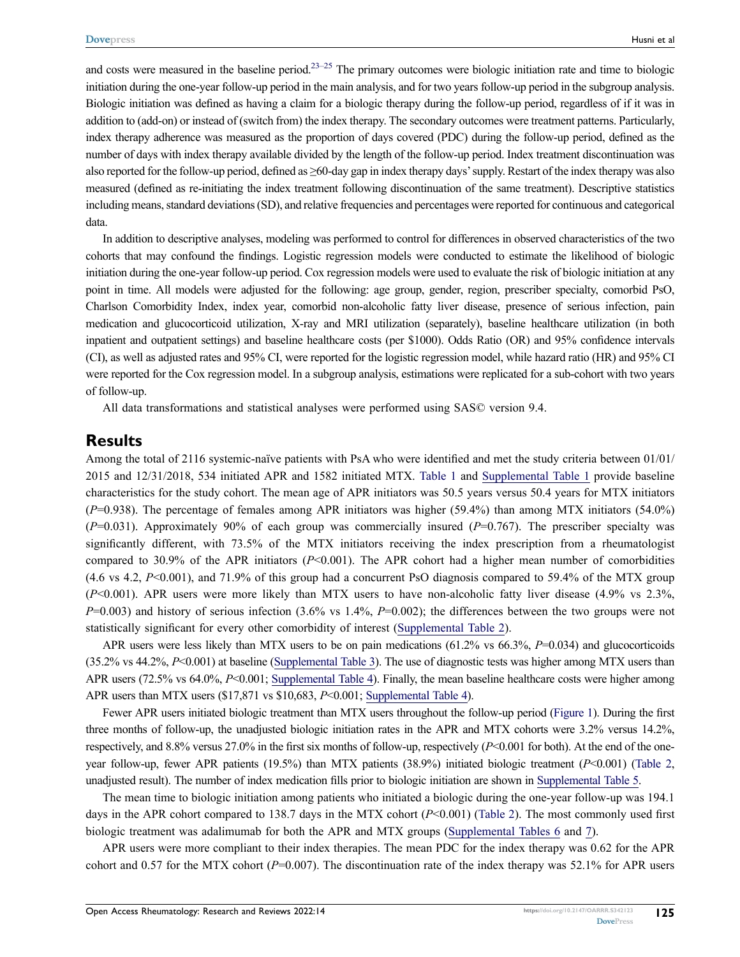<span id="page-2-0"></span>and costs were measured in the baseline period.<sup>23–[25](#page-8-13)</sup> The primary outcomes were biologic initiation rate and time to biologic initiation during the one-year follow-up period in the main analysis, and for two years follow-up period in the subgroup analysis. Biologic initiation was defined as having a claim for a biologic therapy during the follow-up period, regardless of if it was in addition to (add-on) or instead of (switch from) the index therapy. The secondary outcomes were treatment patterns. Particularly, index therapy adherence was measured as the proportion of days covered (PDC) during the follow-up period, defined as the number of days with index therapy available divided by the length of the follow-up period. Index treatment discontinuation was also reported for the follow-up period, defined as ≥60-day gap in index therapy days' supply. Restart of the index therapy was also measured (defined as re-initiating the index treatment following discontinuation of the same treatment). Descriptive statistics including means, standard deviations (SD), and relative frequencies and percentages were reported for continuous and categorical data.

In addition to descriptive analyses, modeling was performed to control for differences in observed characteristics of the two cohorts that may confound the findings. Logistic regression models were conducted to estimate the likelihood of biologic initiation during the one-year follow-up period. Cox regression models were used to evaluate the risk of biologic initiation at any point in time. All models were adjusted for the following: age group, gender, region, prescriber specialty, comorbid PsO, Charlson Comorbidity Index, index year, comorbid non-alcoholic fatty liver disease, presence of serious infection, pain medication and glucocorticoid utilization, X-ray and MRI utilization (separately), baseline healthcare utilization (in both inpatient and outpatient settings) and baseline healthcare costs (per \$1000). Odds Ratio (OR) and 95% confidence intervals (CI), as well as adjusted rates and 95% CI, were reported for the logistic regression model, while hazard ratio (HR) and 95% CI were reported for the Cox regression model. In a subgroup analysis, estimations were replicated for a sub-cohort with two years of follow-up.

All data transformations and statistical analyses were performed using SAS© version 9.4.

#### **Results**

Among the total of 2116 systemic-naïve patients with PsA who were identified and met the study criteria between 01/01/ 2015 and 12/31/2018, 534 initiated APR and 1582 initiated MTX. [Table 1](#page-3-0) and [Supplemental Table 1](https://www.dovepress.com/get_supplementary_file.php?f=342123.docx) provide baseline characteristics for the study cohort. The mean age of APR initiators was 50.5 years versus 50.4 years for MTX initiators (*P*=0.938). The percentage of females among APR initiators was higher (59.4%) than among MTX initiators (54.0%) (*P*=0.031). Approximately 90% of each group was commercially insured (*P*=0.767). The prescriber specialty was significantly different, with 73.5% of the MTX initiators receiving the index prescription from a rheumatologist compared to 30.9% of the APR initiators (*P*<0.001). The APR cohort had a higher mean number of comorbidities  $(4.6 \text{ vs } 4.2, P<0.001)$ , and 71.9% of this group had a concurrent PsO diagnosis compared to 59.4% of the MTX group (*P*<0.001). APR users were more likely than MTX users to have non-alcoholic fatty liver disease (4.9% vs 2.3%, *P*=0.003) and history of serious infection (3.6% vs 1.4%, *P*=0.002); the differences between the two groups were not statistically significant for every other comorbidity of interest ([Supplemental Table 2\)](https://www.dovepress.com/get_supplementary_file.php?f=342123.docx).

APR users were less likely than MTX users to be on pain medications (61.2% vs 66.3%, *P*=0.034) and glucocorticoids (35.2% vs 44.2%, *P*<0.001) at baseline [\(Supplemental Table 3](https://www.dovepress.com/get_supplementary_file.php?f=342123.docx)). The use of diagnostic tests was higher among MTX users than APR users (72.5% vs 64.0%, *P*<0.001; [Supplemental Table 4\)](https://www.dovepress.com/get_supplementary_file.php?f=342123.docx). Finally, the mean baseline healthcare costs were higher among APR users than MTX users (\$17,871 vs \$10,683, *P*<0.001; [Supplemental Table 4\)](https://www.dovepress.com/get_supplementary_file.php?f=342123.docx).

Fewer APR users initiated biologic treatment than MTX users throughout the follow-up period [\(Figure 1\)](#page-4-0). During the first three months of follow-up, the unadjusted biologic initiation rates in the APR and MTX cohorts were 3.2% versus 14.2%, respectively, and 8.8% versus 27.0% in the first six months of follow-up, respectively (*P*<0.001 for both). At the end of the oneyear follow-up, fewer APR patients (19.5%) than MTX patients (38.9%) initiated biologic treatment (*P*<0.001) [\(Table 2,](#page-4-1) unadjusted result). The number of index medication fills prior to biologic initiation are shown in [Supplemental Table 5](https://www.dovepress.com/get_supplementary_file.php?f=342123.docx).

The mean time to biologic initiation among patients who initiated a biologic during the one-year follow-up was 194.1 days in the APR cohort compared to 138.7 days in the MTX cohort (*P*<0.001) ([Table 2](#page-4-1)). The most commonly used first biologic treatment was adalimumab for both the APR and MTX groups [\(Supplemental Tables 6](https://www.dovepress.com/get_supplementary_file.php?f=342123.docx) and [7\)](https://www.dovepress.com/get_supplementary_file.php?f=342123.docx).

APR users were more compliant to their index therapies. The mean PDC for the index therapy was 0.62 for the APR cohort and 0.57 for the MTX cohort ( $P=0.007$ ). The discontinuation rate of the index therapy was 52.1% for APR users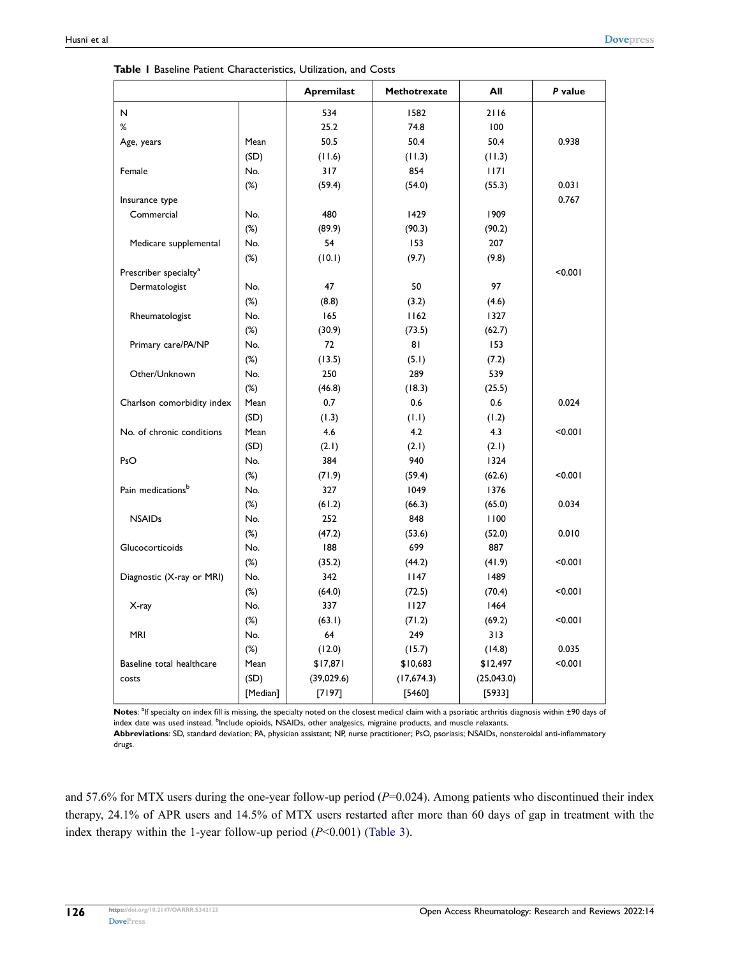|                                   |          | <b>Apremilast</b> | <b>Methotrexate</b> | All         | P value |
|-----------------------------------|----------|-------------------|---------------------|-------------|---------|
| $\mathsf N$                       |          | 534               | 1582                | 2116        |         |
| %                                 |          | 25.2              | 74.8                | 100         |         |
| Age, years                        | Mean     | 50.5              | 50.4                | 50.4        | 0.938   |
|                                   | (SD)     | (11.6)            | (11.3)              | (11.3)      |         |
| Female                            | No.      | 317               | 854                 | 1171        |         |
|                                   | $(\%)$   | (59.4)            | (54.0)              | (55.3)      | 0.031   |
| Insurance type                    |          |                   |                     |             | 0.767   |
| Commercial                        | No.      | 480               | 1429                | 1909        |         |
|                                   | $(\%)$   | (89.9)            | (90.3)              | (90.2)      |         |
| Medicare supplemental             | No.      | 54                | 153                 | 207         |         |
|                                   | $(\%)$   | (10.1)            | (9.7)               | (9.8)       |         |
| Prescriber specialty <sup>a</sup> |          |                   |                     |             | < 0.001 |
| Dermatologist                     | No.      | 47                | 50                  | 97          |         |
|                                   | $(\%)$   | (8.8)             | (3.2)               | (4.6)       |         |
| Rheumatologist                    | No.      | 165               | 1162                | 1327        |         |
|                                   | $(\%)$   | (30.9)            | (73.5)              | (62.7)      |         |
| Primary care/PA/NP                | No.      | 72                | 81                  | 153         |         |
|                                   | $(\%)$   | (13.5)            | (5.1)               | (7.2)       |         |
| Other/Unknown                     | No.      | 250               | 289                 | 539         |         |
|                                   | $(\%)$   | (46.8)            | (18.3)              | (25.5)      |         |
| Charlson comorbidity index        | Mean     | 0.7               | 0.6                 | 0.6         | 0.024   |
|                                   | (SD)     | (1.3)             | (1.1)               | (1.2)       |         |
| No. of chronic conditions         | Mean     | 4.6               | 4.2                 | 4.3         | < 0.001 |
|                                   | (SD)     | (2.1)             | (2.1)               | (2.1)       |         |
| PsO                               | No.      | 384               | 940                 | 1324        |         |
|                                   | $(\%)$   | (71.9)            | (59.4)              | (62.6)      | < 0.001 |
| Pain medications <sup>b</sup>     | No.      | 327               | 1049                | 1376        |         |
|                                   | $(\%)$   | (61.2)            | (66.3)              | (65.0)      | 0.034   |
| <b>NSAIDs</b>                     | No.      | 252               | 848                 | 1100        |         |
|                                   | $(\%)$   | (47.2)            | (53.6)              | (52.0)      | 0.010   |
| Glucocorticoids                   | No.      | 188               | 699                 | 887         |         |
|                                   | $(\%)$   | (35.2)            | (44.2)              | (41.9)      | < 0.001 |
| Diagnostic (X-ray or MRI)         | No.      | 342               | 1147                | 1489        |         |
|                                   | $(\%)$   | (64.0)            | (72.5)              | (70.4)      | < 0.001 |
| X-ray                             | No.      | 337               | 1127                | 1464        |         |
|                                   | $(\%)$   | (63.1)            | (71.2)              | (69.2)      | < 0.001 |
| <b>MRI</b>                        | No.      | 64                | 249                 | 313         |         |
|                                   | $(\%)$   | (12.0)            | (15.7)              | (14.8)      | 0.035   |
| Baseline total healthcare         | Mean     | \$17,871          | \$10,683            | \$12,497    | < 0.001 |
| costs                             | (SD)     | (39,029.6)        | (17,674.3)          | (25, 043.0) |         |
|                                   | [Median] | $[7197]$          | [5460]              | [5933]      |         |

<span id="page-3-0"></span>**Table 1** Baseline Patient Characteristics, Utilization, and Costs

Notes: <sup>a</sup>lf specialty on index fill is missing, the specialty noted on the closest medical claim with a psoriatic arthritis diagnosis within ±90 days of index date was used instead. <sup>b</sup>Include opioids, NSAIDs, other analgesics, migraine products, and muscle relaxants. **Abbreviations**: SD, standard deviation; PA, physician assistant; NP, nurse practitioner; PsO, psoriasis; NSAIDs, nonsteroidal anti-inflammatory

drugs.

and 57.6% for MTX users during the one-year follow-up period ( $P=0.024$ ). Among patients who discontinued their index therapy, 24.1% of APR users and 14.5% of MTX users restarted after more than 60 days of gap in treatment with the index therapy within the 1-year follow-up period (*P*<0.001) [\(Table 3\)](#page-5-0).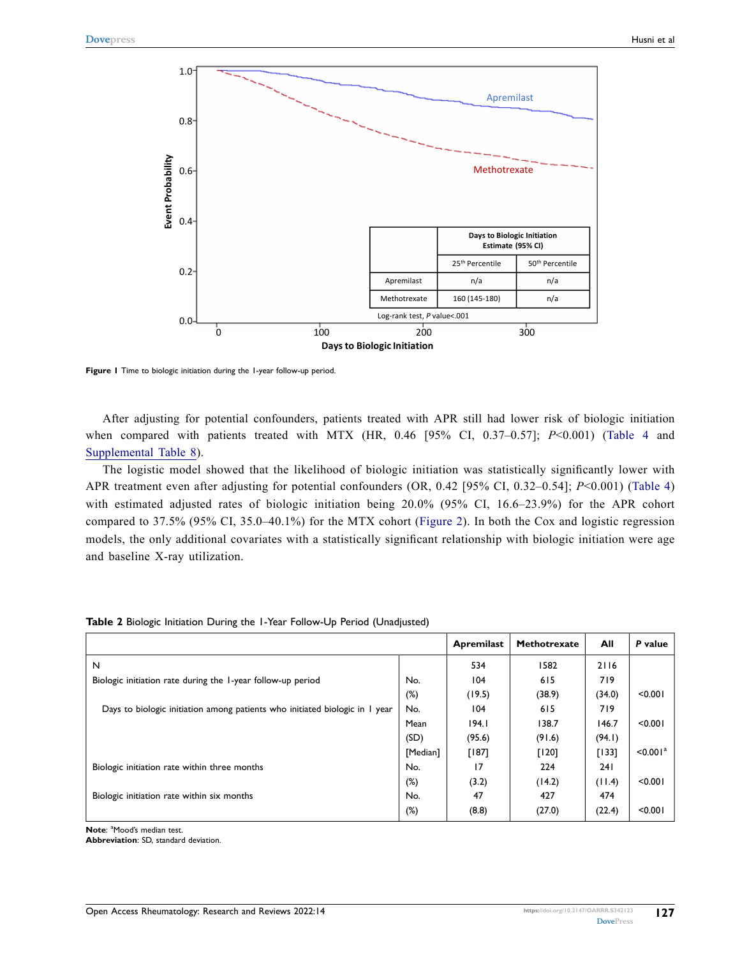<span id="page-4-0"></span>

**Figure 1** Time to biologic initiation during the 1-year follow-up period.

After adjusting for potential confounders, patients treated with APR still had lower risk of biologic initiation when compared with patients treated with MTX (HR, 0.46 [95% CI, 0.37–0.57]; *P*<0.001) [\(Table 4](#page-5-1) and [Supplemental Table 8\)](https://www.dovepress.com/get_supplementary_file.php?f=342123.docx).

The logistic model showed that the likelihood of biologic initiation was statistically significantly lower with APR treatment even after adjusting for potential confounders (OR, 0.42 [95% CI, 0.32–0.54]; *P*<0.001) [\(Table 4](#page-5-1)) with estimated adjusted rates of biologic initiation being 20.0% (95% CI, 16.6–23.9%) for the APR cohort compared to 37.5% (95% CI, 35.0–40.1%) for the MTX cohort [\(Figure 2](#page-5-2)). In both the Cox and logistic regression models, the only additional covariates with a statistically significant relationship with biologic initiation were age and baseline X-ray utilization.

|                                                                             |          | <b>Apremilast</b> | <b>Methotrexate</b> | All        | P value              |
|-----------------------------------------------------------------------------|----------|-------------------|---------------------|------------|----------------------|
| N                                                                           |          | 534               | 1582                | 2116       |                      |
| Biologic initiation rate during the 1-year follow-up period                 | No.      | 104               | 615                 | 719        |                      |
|                                                                             | $(\%)$   | (19.5)            | (38.9)              | (34.0)     | < 0.001              |
| Days to biologic initiation among patients who initiated biologic in I year | No.      | 104               | 615                 | 719        |                      |
|                                                                             | Mean     | 194.1             | 138.7               | 146.7      | < 0.001              |
|                                                                             | (SD)     | (95.6)            | (91.6)              | (94.1)     |                      |
|                                                                             | [Median] | [187]             | $[120]$             | [133]      | < 0.001 <sup>a</sup> |
| Biologic initiation rate within three months                                | No.      | 17                | 224                 | <b>241</b> |                      |
|                                                                             | $(\%)$   | (3.2)             | (14.2)              | (11.4)     | < 0.001              |
| Biologic initiation rate within six months                                  | No.      | 47                | 427                 | 474        |                      |
|                                                                             | $(\%)$   | (8.8)             | (27.0)              | (22.4)     | < 0.001              |

<span id="page-4-1"></span>**Table 2** Biologic Initiation During the 1-Year Follow-Up Period (Unadjusted)

Note: <sup>a</sup>Mood's median test.

**Abbreviation**: SD, standard deviation.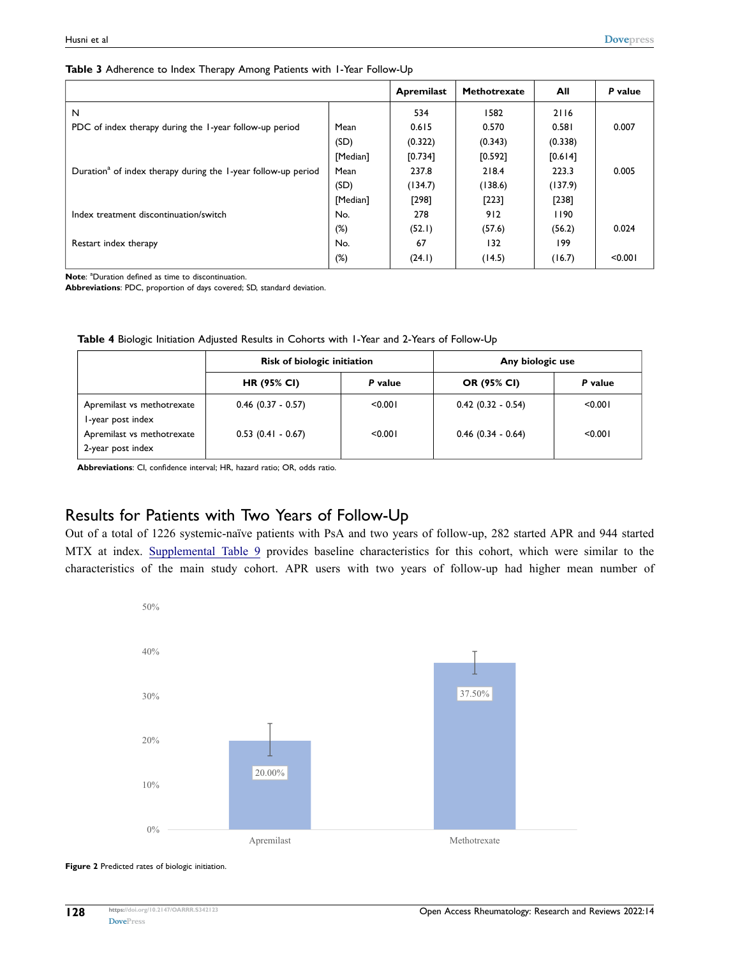<span id="page-5-0"></span>

|  | Table 3 Adherence to Index Therapy Among Patients with I-Year Follow-Up |  |  |  |  |  |
|--|-------------------------------------------------------------------------|--|--|--|--|--|
|  |                                                                         |  |  |  |  |  |

|                                                                           |          | <b>Apremilast</b> | Methotrexate | All     | P value |
|---------------------------------------------------------------------------|----------|-------------------|--------------|---------|---------|
| N                                                                         |          | 534               | 1582         | 2116    |         |
| PDC of index therapy during the 1-year follow-up period                   | Mean     | 0.615             | 0.570        | 0.581   | 0.007   |
|                                                                           | (SD)     | (0.322)           | (0.343)      | (0.338) |         |
|                                                                           | [Median] | [0.734]           | [0.592]      | [0.614] |         |
| Duration <sup>a</sup> of index therapy during the 1-year follow-up period | Mean     | 237.8             | 218.4        | 223.3   | 0.005   |
|                                                                           | (SD)     | (134.7)           | (138.6)      | (137.9) |         |
|                                                                           | [Median] | [298]             | [223]        | $[238]$ |         |
| Index treatment discontinuation/switch                                    | No.      | 278               | 912          | 1190    |         |
|                                                                           | $(\%)$   | (52.1)            | (57.6)       | (56.2)  | 0.024   |
| Restart index therapy                                                     | No.      | 67                | 132          | 199     |         |
|                                                                           | $(\%)$   | (24.1)            | (14.5)       | (16.7)  | < 0.001 |

Note: <sup>a</sup>Duration defined as time to discontinuation.

**Abbreviations**: PDC, proportion of days covered; SD, standard deviation.

<span id="page-5-1"></span>**Table 4** Biologic Initiation Adjusted Results in Cohorts with 1-Year and 2-Years of Follow-Up

|                                                 | Risk of biologic initiation |         | Any biologic use     |         |  |  |
|-------------------------------------------------|-----------------------------|---------|----------------------|---------|--|--|
|                                                 | <b>HR (95% CI)</b>          | P value | <b>OR (95% CI)</b>   | P value |  |  |
| Apremilast vs methotrexate<br>I-year post index | $0.46$ (0.37 - 0.57)        | < 0.001 | $0.42(0.32 - 0.54)$  | < 0.001 |  |  |
| Apremilast vs methotrexate<br>2-year post index | $0.53$ (0.41 - 0.67)        | < 0.001 | $0.46$ (0.34 - 0.64) | < 0.001 |  |  |

**Abbreviations**: CI, confidence interval; HR, hazard ratio; OR, odds ratio.

#### Results for Patients with Two Years of Follow-Up

Out of a total of 1226 systemic-naïve patients with PsA and two years of follow-up, 282 started APR and 944 started MTX at index. [Supplemental Table 9](https://www.dovepress.com/get_supplementary_file.php?f=342123.docx) provides baseline characteristics for this cohort, which were similar to the characteristics of the main study cohort. APR users with two years of follow-up had higher mean number of

<span id="page-5-2"></span>

**Figure 2** Predicted rates of biologic initiation.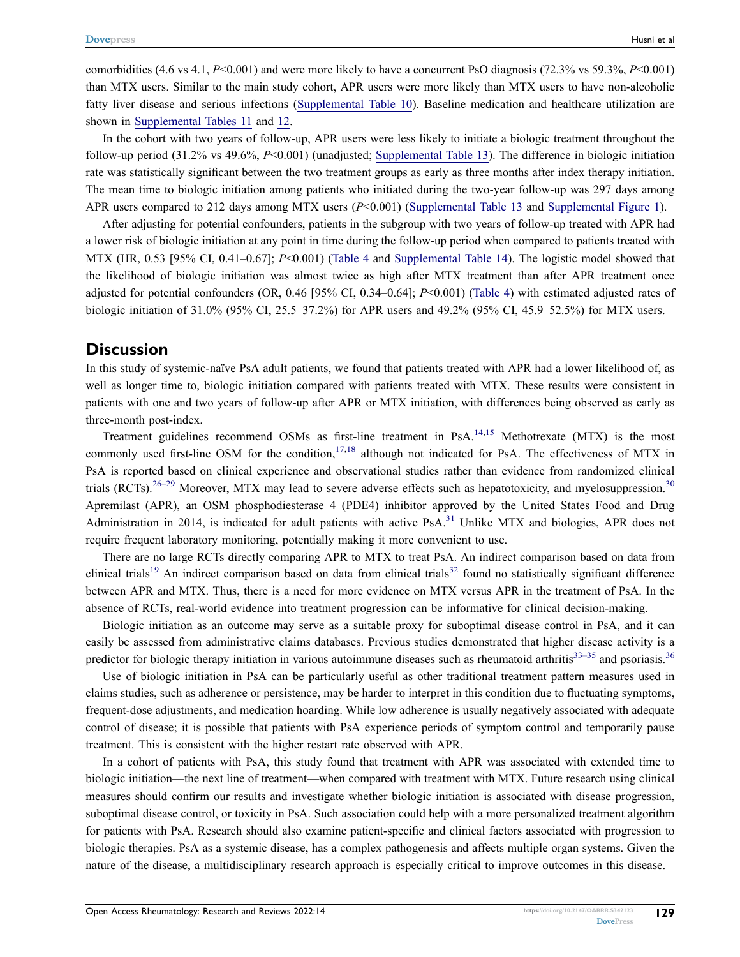comorbidities (4.6 vs 4.1, *P*<0.001) and were more likely to have a concurrent PsO diagnosis (72.3% vs 59.3%, *P*<0.001) than MTX users. Similar to the main study cohort, APR users were more likely than MTX users to have non-alcoholic fatty liver disease and serious infections [\(Supplemental Table 10](https://www.dovepress.com/get_supplementary_file.php?f=342123.docx)). Baseline medication and healthcare utilization are shown in [Supplemental Tables 11](https://www.dovepress.com/get_supplementary_file.php?f=342123.docx) and [12.](https://www.dovepress.com/get_supplementary_file.php?f=342123.docx)

In the cohort with two years of follow-up, APR users were less likely to initiate a biologic treatment throughout the follow-up period (31.2% vs 49.6%, *P*<0.001) (unadjusted; [Supplemental Table 13](https://www.dovepress.com/get_supplementary_file.php?f=342123.docx)). The difference in biologic initiation rate was statistically significant between the two treatment groups as early as three months after index therapy initiation. The mean time to biologic initiation among patients who initiated during the two-year follow-up was 297 days among APR users compared to 212 days among MTX users (*P*<0.001) ([Supplemental Table 13](https://www.dovepress.com/get_supplementary_file.php?f=342123.docx) and [Supplemental Figure 1](https://www.dovepress.com/get_supplementary_file.php?f=342123.docx)).

After adjusting for potential confounders, patients in the subgroup with two years of follow-up treated with APR had a lower risk of biologic initiation at any point in time during the follow-up period when compared to patients treated with MTX (HR, 0.53 [95% CI, 0.41–0.67]; *P*<0.001) ([Table 4](#page-5-1) and [Supplemental Table 14](https://www.dovepress.com/get_supplementary_file.php?f=342123.docx)). The logistic model showed that the likelihood of biologic initiation was almost twice as high after MTX treatment than after APR treatment once adjusted for potential confounders (OR, 0.46 [95% CI, 0.34–0.64]; *P*<0.001) ([Table 4](#page-5-1)) with estimated adjusted rates of biologic initiation of 31.0% (95% CI, 25.5–37.2%) for APR users and 49.2% (95% CI, 45.9–52.5%) for MTX users.

#### **Discussion**

In this study of systemic-naïve PsA adult patients, we found that patients treated with APR had a lower likelihood of, as well as longer time to, biologic initiation compared with patients treated with MTX. These results were consistent in patients with one and two years of follow-up after APR or MTX initiation, with differences being observed as early as three-month post-index.

<span id="page-6-0"></span>Treatment guidelines recommend OSMs as first-line treatment in PsA.<sup>[14,](#page-8-3)[15](#page-8-4)</sup> Methotrexate (MTX) is the most commonly used first-line OSM for the condition,  $17,18$  $17,18$  $17,18$  although not indicated for PsA. The effectiveness of MTX in PsA is reported based on clinical experience and observational studies rather than evidence from randomized clinical trials (RCTs).<sup>[26–](#page-8-14)[29](#page-8-15)</sup> Moreover, MTX may lead to severe adverse effects such as hepatotoxicity, and myelosuppression.<sup>[30](#page-8-16)</sup> Apremilast (APR), an OSM phosphodiesterase 4 (PDE4) inhibitor approved by the United States Food and Drug Administration in 2014, is indicated for adult patients with active PsA. $31$  Unlike MTX and biologics, APR does not require frequent laboratory monitoring, potentially making it more convenient to use.

<span id="page-6-2"></span><span id="page-6-1"></span>There are no large RCTs directly comparing APR to MTX to treat PsA. An indirect comparison based on data from clinical trials<sup>[19](#page-8-8)</sup> An indirect comparison based on data from clinical trials<sup>[32](#page-8-18)</sup> found no statistically significant difference between APR and MTX. Thus, there is a need for more evidence on MTX versus APR in the treatment of PsA. In the absence of RCTs, real-world evidence into treatment progression can be informative for clinical decision-making.

Biologic initiation as an outcome may serve as a suitable proxy for suboptimal disease control in PsA, and it can easily be assessed from administrative claims databases. Previous studies demonstrated that higher disease activity is a predictor for biologic therapy initiation in various autoimmune diseases such as rheumatoid arthritis $33-35$  $33-35$  and psoriasis. $36$ 

<span id="page-6-3"></span>Use of biologic initiation in PsA can be particularly useful as other traditional treatment pattern measures used in claims studies, such as adherence or persistence, may be harder to interpret in this condition due to fluctuating symptoms, frequent-dose adjustments, and medication hoarding. While low adherence is usually negatively associated with adequate control of disease; it is possible that patients with PsA experience periods of symptom control and temporarily pause treatment. This is consistent with the higher restart rate observed with APR.

In a cohort of patients with PsA, this study found that treatment with APR was associated with extended time to biologic initiation—the next line of treatment—when compared with treatment with MTX. Future research using clinical measures should confirm our results and investigate whether biologic initiation is associated with disease progression, suboptimal disease control, or toxicity in PsA. Such association could help with a more personalized treatment algorithm for patients with PsA. Research should also examine patient-specific and clinical factors associated with progression to biologic therapies. PsA as a systemic disease, has a complex pathogenesis and affects multiple organ systems. Given the nature of the disease, a multidisciplinary research approach is especially critical to improve outcomes in this disease.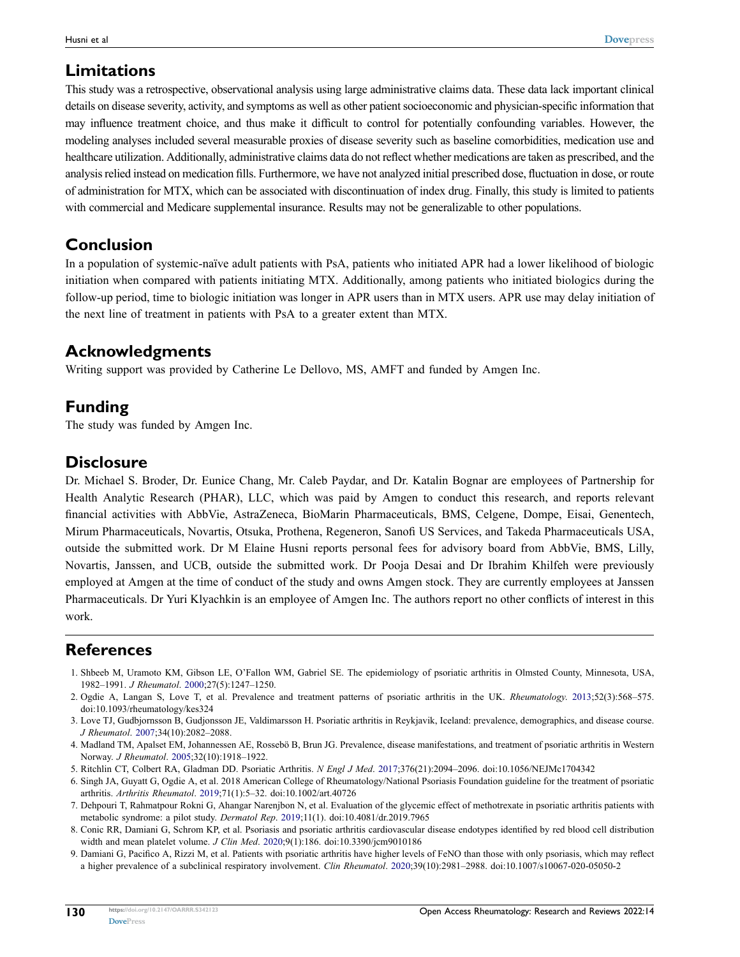#### **Limitations**

This study was a retrospective, observational analysis using large administrative claims data. These data lack important clinical details on disease severity, activity, and symptoms as well as other patient socioeconomic and physician-specific information that may influence treatment choice, and thus make it difficult to control for potentially confounding variables. However, the modeling analyses included several measurable proxies of disease severity such as baseline comorbidities, medication use and healthcare utilization. Additionally, administrative claims data do not reflect whether medications are taken as prescribed, and the analysis relied instead on medication fills. Furthermore, we have not analyzed initial prescribed dose, fluctuation in dose, or route of administration for MTX, which can be associated with discontinuation of index drug. Finally, this study is limited to patients with commercial and Medicare supplemental insurance. Results may not be generalizable to other populations.

#### **Conclusion**

In a population of systemic-naïve adult patients with PsA, patients who initiated APR had a lower likelihood of biologic initiation when compared with patients initiating MTX. Additionally, among patients who initiated biologics during the follow-up period, time to biologic initiation was longer in APR users than in MTX users. APR use may delay initiation of the next line of treatment in patients with PsA to a greater extent than MTX.

#### **Acknowledgments**

Writing support was provided by Catherine Le Dellovo, MS, AMFT and funded by Amgen Inc.

### **Funding**

The study was funded by Amgen Inc.

#### **Disclosure**

Dr. Michael S. Broder, Dr. Eunice Chang, Mr. Caleb Paydar, and Dr. Katalin Bognar are employees of Partnership for Health Analytic Research (PHAR), LLC, which was paid by Amgen to conduct this research, and reports relevant financial activities with AbbVie, AstraZeneca, BioMarin Pharmaceuticals, BMS, Celgene, Dompe, Eisai, Genentech, Mirum Pharmaceuticals, Novartis, Otsuka, Prothena, Regeneron, Sanofi US Services, and Takeda Pharmaceuticals USA, outside the submitted work. Dr M Elaine Husni reports personal fees for advisory board from AbbVie, BMS, Lilly, Novartis, Janssen, and UCB, outside the submitted work. Dr Pooja Desai and Dr Ibrahim Khilfeh were previously employed at Amgen at the time of conduct of the study and owns Amgen stock. They are currently employees at Janssen Pharmaceuticals. Dr Yuri Klyachkin is an employee of Amgen Inc. The authors report no other conflicts of interest in this work.

#### **References**

- <span id="page-7-0"></span>1. Shbeeb M, Uramoto KM, Gibson LE, O'Fallon WM, Gabriel SE. The epidemiology of psoriatic arthritis in Olmsted County, Minnesota, USA, 1982–1991. *J Rheumatol*. [2000;](#page-0-1)27(5):1247–1250.
- 2. Ogdie A, Langan S, Love T, et al. Prevalence and treatment patterns of psoriatic arthritis in the UK. *Rheumatology*. 2013;52(3):568–575. doi:[10.1093/rheumatology/kes324](https://doi.org/10.1093/rheumatology/kes324)
- 3. Love TJ, Gudbjornsson B, Gudjonsson JE, Valdimarsson H. Psoriatic arthritis in Reykjavik, Iceland: prevalence, demographics, and disease course. *J Rheumatol*. 2007;34(10):2082–2088.
- 4. Madland TM, Apalset EM, Johannessen AE, Rossebö B, Brun JG. Prevalence, disease manifestations, and treatment of psoriatic arthritis in Western Norway. *J Rheumatol*. 2005;32(10):1918–1922.
- 5. Ritchlin CT, Colbert RA, Gladman DD. Psoriatic Arthritis. *N Engl J Med*. 2017;376(21):2094–2096. doi:[10.1056/NEJMc1704342](https://doi.org/10.1056/NEJMc1704342)
- <span id="page-7-1"></span>6. Singh JA, Guyatt G, Ogdie A, et al. 2018 American College of Rheumatology/National Psoriasis Foundation guideline for the treatment of psoriatic arthritis. *Arthritis Rheumatol*. [2019](#page-1-0);71(1):5–32. doi:[10.1002/art.40726](https://doi.org/10.1002/art.40726)
- <span id="page-7-2"></span>7. Dehpouri T, Rahmatpour Rokni G, Ahangar Narenjbon N, et al. Evaluation of the glycemic effect of methotrexate in psoriatic arthritis patients with metabolic syndrome: a pilot study. *Dermatol Rep*. [2019;](#page-0-2)11(1). doi:[10.4081/dr.2019.7965](https://doi.org/10.4081/dr.2019.7965)
- 8. Conic RR, Damiani G, Schrom KP, et al. Psoriasis and psoriatic arthritis cardiovascular disease endotypes identified by red blood cell distribution width and mean platelet volume. *J Clin Med*. 2020;9(1):186. doi:[10.3390/jcm9010186](https://doi.org/10.3390/jcm9010186)
- <span id="page-7-3"></span>9. Damiani G, Pacifico A, Rizzi M, et al. Patients with psoriatic arthritis have higher levels of FeNO than those with only psoriasis, which may reflect a higher prevalence of a subclinical respiratory involvement. *Clin Rheumatol*. 2020;39(10):2981–2988. doi:[10.1007/s10067-020-05050-2](https://doi.org/10.1007/s10067-020-05050-2)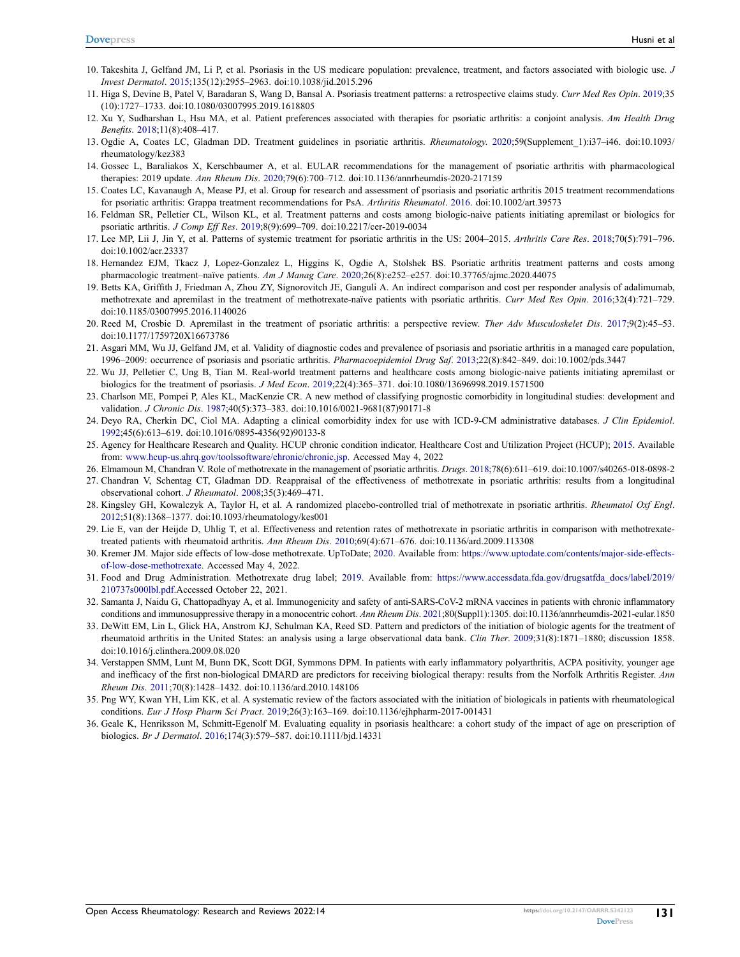- <span id="page-8-0"></span>10. Takeshita J, Gelfand JM, Li P, et al. Psoriasis in the US medicare population: prevalence, treatment, and factors associated with biologic use. *J Invest Dermatol*. [2015;](#page-0-3)135(12):2955–2963. doi:[10.1038/jid.2015.296](https://doi.org/10.1038/jid.2015.296)
- 11. Higa S, Devine B, Patel V, Baradaran S, Wang D, Bansal A. Psoriasis treatment patterns: a retrospective claims study. *Curr Med Res Opin*. 2019;35 (10):1727–1733. doi:[10.1080/03007995.2019.1618805](https://doi.org/10.1080/03007995.2019.1618805)
- <span id="page-8-1"></span>12. Xu Y, Sudharshan L, Hsu MA, et al. Patient preferences associated with therapies for psoriatic arthritis: a conjoint analysis. *Am Health Drug Benefits*. 2018;11(8):408–417.
- <span id="page-8-2"></span>13. Ogdie A, Coates LC, Gladman DD. Treatment guidelines in psoriatic arthritis. *Rheumatology*. [2020](#page-1-1);59(Supplement\_1):i37–i46. doi:[10.1093/](https://doi.org/10.1093/rheumatology/kez383) [rheumatology/kez383](https://doi.org/10.1093/rheumatology/kez383)
- <span id="page-8-3"></span>14. Gossec L, Baraliakos X, Kerschbaumer A, et al. EULAR recommendations for the management of psoriatic arthritis with pharmacological therapies: 2019 update. *Ann Rheum Dis*. [2020](#page-1-2);79(6):700–712. doi:[10.1136/annrheumdis-2020-217159](https://doi.org/10.1136/annrheumdis-2020-217159)
- <span id="page-8-4"></span>15. Coates LC, Kavanaugh A, Mease PJ, et al. Group for research and assessment of psoriasis and psoriatic arthritis 2015 treatment recommendations for psoriatic arthritis: Grappa treatment recommendations for PsA. *Arthritis Rheumatol*. [2016](#page-1-3). doi:[10.1002/art.39573](https://doi.org/10.1002/art.39573)
- <span id="page-8-5"></span>16. Feldman SR, Pelletier CL, Wilson KL, et al. Treatment patterns and costs among biologic-naive patients initiating apremilast or biologics for psoriatic arthritis. *J Comp Eff Res*. [2019](#page-1-4);8(9):699–709. doi:[10.2217/cer-2019-0034](https://doi.org/10.2217/cer-2019-0034)
- <span id="page-8-6"></span>17. Lee MP, Lii J, Jin Y, et al. Patterns of systemic treatment for psoriatic arthritis in the US: 2004–2015. *Arthritis Care Res*. [2018;](#page-1-5)70(5):791–796. doi:[10.1002/acr.23337](https://doi.org/10.1002/acr.23337)
- <span id="page-8-7"></span>18. Hernandez EJM, Tkacz J, Lopez-Gonzalez L, Higgins K, Ogdie A, Stolshek BS. Psoriatic arthritis treatment patterns and costs among pharmacologic treatment–naïve patients. *Am J Manag Care*. [2020;](#page-1-5)26(8):e252–e257. doi:[10.37765/ajmc.2020.44075](https://doi.org/10.37765/ajmc.2020.44075)
- <span id="page-8-8"></span>19. Betts KA, Griffith J, Friedman A, Zhou ZY, Signorovitch JE, Ganguli A. An indirect comparison and cost per responder analysis of adalimumab, methotrexate and apremilast in the treatment of methotrexate-naïve patients with psoriatic arthritis. *Curr Med Res Opin*. [2016;](#page-1-6)32(4):721–729. doi:[10.1185/03007995.2016.1140026](https://doi.org/10.1185/03007995.2016.1140026)
- <span id="page-8-9"></span>20. Reed M, Crosbie D. Apremilast in the treatment of psoriatic arthritis: a perspective review. *Ther Adv Musculoskelet Dis*. [2017;](#page-1-6)9(2):45–53. doi:[10.1177/1759720X16673786](https://doi.org/10.1177/1759720X16673786)
- <span id="page-8-10"></span>21. Asgari MM, Wu JJ, Gelfand JM, et al. Validity of diagnostic codes and prevalence of psoriasis and psoriatic arthritis in a managed care population, 1996–2009: occurrence of psoriasis and psoriatic arthritis. *Pharmacoepidemiol Drug Saf*. [2013](#page-1-7);22(8):842–849. doi:[10.1002/pds.3447](https://doi.org/10.1002/pds.3447)
- <span id="page-8-11"></span>22. Wu JJ, Pelletier C, Ung B, Tian M. Real-world treatment patterns and healthcare costs among biologic-naive patients initiating apremilast or biologics for the treatment of psoriasis. *J Med Econ*. [2019;](#page-1-8)22(4):365–371. doi:[10.1080/13696998.2019.1571500](https://doi.org/10.1080/13696998.2019.1571500)
- <span id="page-8-12"></span>23. Charlson ME, Pompei P, Ales KL, MacKenzie CR. A new method of classifying prognostic comorbidity in longitudinal studies: development and validation. *J Chronic Dis*. [1987;](#page-2-0)40(5):373–383. doi:[10.1016/0021-9681\(87\)90171-8](https://doi.org/10.1016/0021-9681(87)90171-8)
- 24. Deyo RA, Cherkin DC, Ciol MA. Adapting a clinical comorbidity index for use with ICD-9-CM administrative databases. *J Clin Epidemiol*. 1992;45(6):613–619. doi:[10.1016/0895-4356\(92\)90133-8](https://doi.org/10.1016/0895-4356(92)90133-8)
- <span id="page-8-13"></span>25. Agency for Healthcare Research and Quality. HCUP chronic condition indicator. Healthcare Cost and Utilization Project (HCUP); 2015. Available from: [www.hcup-us.ahrq.gov/toolssoftware/chronic/chronic.jsp.](http://www.hcup-us.ahrq.gov/toolssoftware/chronic/chronic.jsp) Accessed May 4, 2022
- <span id="page-8-14"></span>26. Elmamoun M, Chandran V. Role of methotrexate in the management of psoriatic arthritis. *Drugs*. [2018;](#page-6-0)78(6):611–619. doi:[10.1007/s40265-018-0898-2](https://doi.org/10.1007/s40265-018-0898-2)
- 27. Chandran V, Schentag CT, Gladman DD. Reappraisal of the effectiveness of methotrexate in psoriatic arthritis: results from a longitudinal observational cohort. *J Rheumatol*. 2008;35(3):469–471.
- 28. Kingsley GH, Kowalczyk A, Taylor H, et al. A randomized placebo-controlled trial of methotrexate in psoriatic arthritis. *Rheumatol Oxf Engl*. 2012;51(8):1368–1377. doi:[10.1093/rheumatology/kes001](https://doi.org/10.1093/rheumatology/kes001)
- <span id="page-8-15"></span>29. Lie E, van der Heijde D, Uhlig T, et al. Effectiveness and retention rates of methotrexate in psoriatic arthritis in comparison with methotrexatetreated patients with rheumatoid arthritis. *Ann Rheum Dis*. 2010;69(4):671–676. doi:[10.1136/ard.2009.113308](https://doi.org/10.1136/ard.2009.113308)
- <span id="page-8-16"></span>30. Kremer JM. Major side effects of low-dose methotrexate. UpToDate; [2020](#page-6-0). Available from: [https://www.uptodate.com/contents/major-side-effects](https://www.uptodate.com/contents/major-side-effects-of-low-dose-methotrexate)[of-low-dose-methotrexate.](https://www.uptodate.com/contents/major-side-effects-of-low-dose-methotrexate) Accessed May 4, 2022.
- <span id="page-8-17"></span>31. Food and Drug Administration. Methotrexate drug label; [2019](#page-6-1). Available from: [https://www.accessdata.fda.gov/drugsatfda\\_docs/label/2019/](https://www.accessdata.fda.gov/drugsatfda_docs/label/2019/210737s000lbl.pdf) [210737s000lbl.pdf.](https://www.accessdata.fda.gov/drugsatfda_docs/label/2019/210737s000lbl.pdf)Accessed October 22, 2021.
- <span id="page-8-18"></span>32. Samanta J, Naidu G, Chattopadhyay A, et al. Immunogenicity and safety of anti-SARS-CoV-2 mRNA vaccines in patients with chronic inflammatory conditions and immunosuppressive therapy in a monocentric cohort. *Ann Rheum Dis*. [2021;](#page-6-2)80(Suppl1):1305. doi:[10.1136/annrheumdis-2021-eular.1850](https://doi.org/10.1136/annrheumdis-2021-eular.1850)
- <span id="page-8-19"></span>33. DeWitt EM, Lin L, Glick HA, Anstrom KJ, Schulman KA, Reed SD. Pattern and predictors of the initiation of biologic agents for the treatment of rheumatoid arthritis in the United States: an analysis using a large observational data bank. *Clin Ther*. [2009](#page-6-3);31(8):1871–1880; discussion 1858. doi:[10.1016/j.clinthera.2009.08.020](https://doi.org/10.1016/j.clinthera.2009.08.020)
- 34. Verstappen SMM, Lunt M, Bunn DK, Scott DGI, Symmons DPM. In patients with early inflammatory polyarthritis, ACPA positivity, younger age and inefficacy of the first non-biological DMARD are predictors for receiving biological therapy: results from the Norfolk Arthritis Register. *Ann Rheum Dis*. 2011;70(8):1428–1432. doi:[10.1136/ard.2010.148106](https://doi.org/10.1136/ard.2010.148106)
- <span id="page-8-20"></span>35. Png WY, Kwan YH, Lim KK, et al. A systematic review of the factors associated with the initiation of biologicals in patients with rheumatological conditions. *Eur J Hosp Pharm Sci Pract*. 2019;26(3):163–169. doi:[10.1136/ejhpharm-2017-001431](https://doi.org/10.1136/ejhpharm-2017-001431)
- <span id="page-8-21"></span>36. Geale K, Henriksson M, Schmitt-Egenolf M. Evaluating equality in psoriasis healthcare: a cohort study of the impact of age on prescription of biologics. *Br J Dermatol*. [2016;](#page-6-3)174(3):579–587. doi:[10.1111/bjd.14331](https://doi.org/10.1111/bjd.14331)